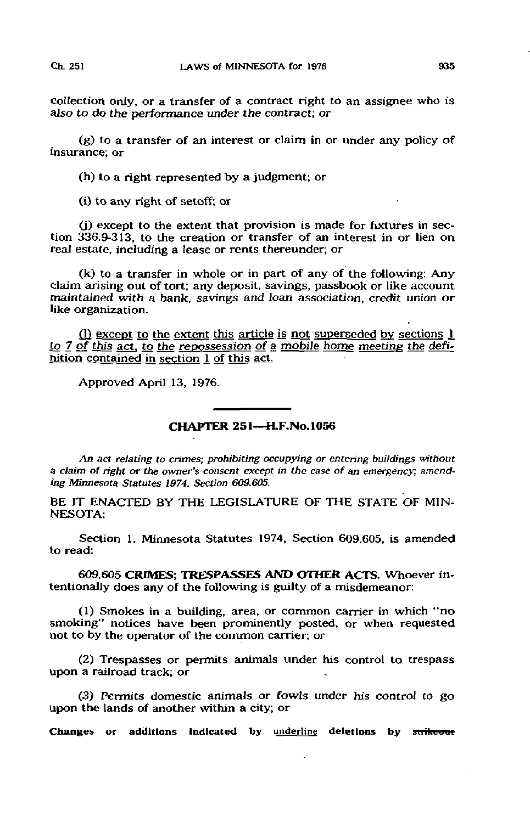collection only, or a transfer of a contract right to an assignee who is also to do the performance under the contract; or

(g) to a transfer of an interest or claim in or under any policy of insurance; or

(h) to a right represented by a judgment; or

(i) to any right of setoff; or

(j) except to the extent that provision is made for fixtures in section 336.9-313, to the creation or transfer of an interest in or lien on real estate, including a lease or rents thereunder; or

(k) to a transfer in whole or in part of any of the following: Any Claim arising out of tort; any deposit, savings, passbook or like account maintained with a bank, savings and loan association, credit union or like organization.

(1) except to the extent this article is not superseded by sections  $1$ to 7 of this act, to the repossession of a mobile home meeting the definition contained in section 1 of this act.

Approved April 13, 1976.

## CHAPTER 251—H.F.No.1056

An act relating to crimes; prohibiting occupying or entering buildings without 3 claim of right or the owner's consent except in the case of an emergency; amending Minnesota Statutes 1974, Section 6O9.605.

BE IT ENACTED BY THE LEGISLATURE OF THE STATE OF MIN-NESOTA:

Section 1. Minnesota Statutes 1974, Section 609.605, is amended to read:

609,605 CRIMES; TRESPASSES AND OTHER ACTS. Whoever intentionally does any of the following is guilty of a misdemeanor:

(1) Smokes in a building, area, or common carrier in which "no smoking" notices have been prominently posted, or when requested not to by the operator of the common carrier; or

(2) Trespasses or permits animals under his control to trespass upon a railroad track; or

(3) Permits domestic animals or fowls under his control to go upon the lands of another within a city; or

Changes or additions indicated by underline deletions by strikeout